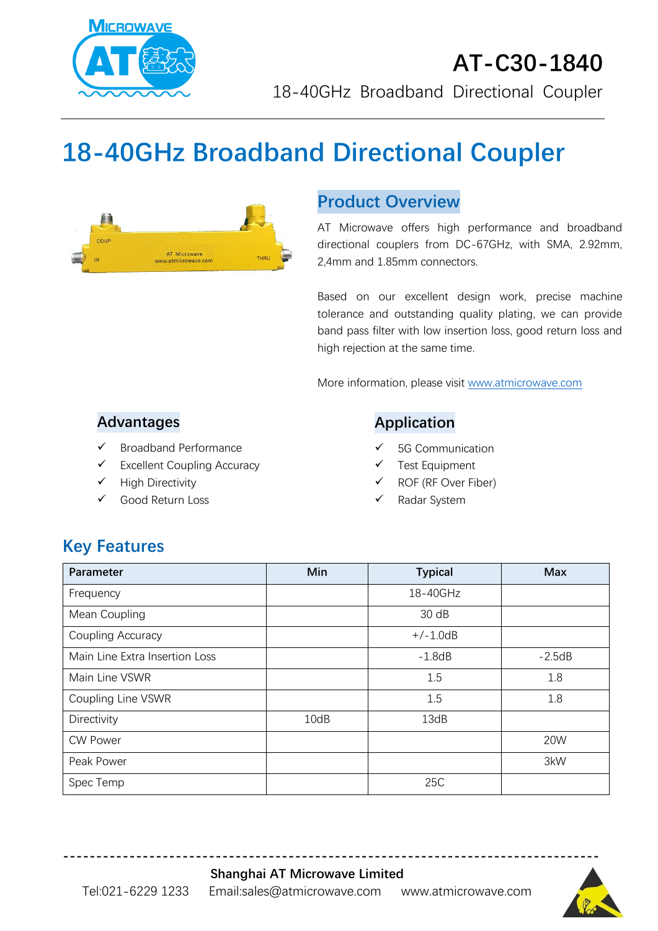

# **18-40GHz Broadband Directional Coupler**



## **Product Overview**

AT Microwave offers high performance and broadband directional couplers from DC-67GHz, with SMA, 2.92mm, 2,4mm and 1.85mm connectors.

Based on our excellent design work, precise machine tolerance and outstanding quality plating, we can provide band pass filter with low insertion loss, good return loss and high rejection at the same time.

More information, please visit [www.atmicrowave.com](http://www.atmicrowave.com/)

### **Advantages**

- ✓ Broadband Performance
- ✓ Excellent Coupling Accuracy
- ✓ High Directivity
- Good Return Loss

### **Application**

- 5G Communication
- Test Equipment
- ROF (RF Over Fiber)
- Radar System

# **Key Features**

| Parameter                      | Min  | <b>Typical</b> | <b>Max</b> |
|--------------------------------|------|----------------|------------|
| Frequency                      |      | 18-40GHz       |            |
| Mean Coupling                  |      | 30 dB          |            |
| Coupling Accuracy              |      | $+/-1.0dB$     |            |
| Main Line Extra Insertion Loss |      | $-1.8dB$       | $-2.5dB$   |
| Main Line VSWR                 |      | 1.5            | 1.8        |
| Coupling Line VSWR             |      | 1.5            | 1.8        |
| Directivity                    | 10dB | 13dB           |            |
| <b>CW Power</b>                |      |                | 20W        |
| Peak Power                     |      |                | 3kW        |
| Spec Temp                      |      | 25C            |            |